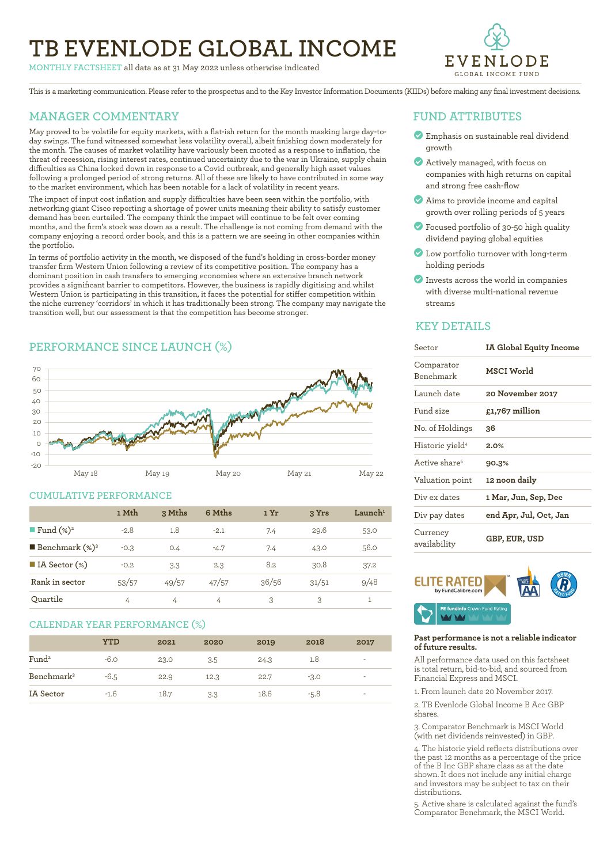# **TB EVENLODE GLOBAL INCOME**

**MONTHLY FACTSHEET** all data as at 31 May 2022 unless otherwise indicated



This is a marketing communication. Please refer to the prospectus and to the Key Investor Information Documents (KIIDs) before making any final investment decisions.

# **MANAGER COMMENTARY**

May proved to be volatile for equity markets, with a flat-ish return for the month masking large day-today swings. The fund witnessed somewhat less volatility overall, albeit finishing down moderately for the month. The causes of market volatility have variously been mooted as a response to inflation, the threat of recession, rising interest rates, continued uncertainty due to the war in Ukraine, supply chain difficulties as China locked down in response to a Covid outbreak, and generally high asset values following a prolonged period of strong returns. All of these are likely to have contributed in some way to the market environment, which has been notable for a lack of volatility in recent years.

The impact of input cost inflation and supply difficulties have been seen within the portfolio, with networking giant Cisco reporting a shortage of power units meaning their ability to satisfy customer demand has been curtailed. The company think the impact will continue to be felt over coming months, and the firm's stock was down as a result. The challenge is not coming from demand with the company enjoying a record order book, and this is a pattern we are seeing in other companies within the portfolio.

In terms of portfolio activity in the month, we disposed of the fund's holding in cross-border money transfer firm Western Union following a review of its competitive position. The company has a dominant position in cash transfers to emerging economies where an extensive branch network provides a significant barrier to competitors. However, the business is rapidly digitising and whilst Western Union is participating in this transition, it faces the potential for stiffer competition within the niche currency 'corridors' in which it has traditionally been strong. The company may navigate the transition well, but our assessment is that the competition has become stronger.

# **PERFORMANCE SINCE LAUNCH (%)**



### **CUMULATIVE PERFORMANCE**

|                              | 1 Mth  | 3 Mths         | 6 Mths | 1 Yr  | 3 Yrs | $L$ aunch <sup>1</sup> |
|------------------------------|--------|----------------|--------|-------|-------|------------------------|
| ■ Fund $(\%)^2$              | $-2.8$ | 1.8            | $-2.1$ | 7.4   | 29.6  | 53.0                   |
| <b>Benchmark</b> $(\%)^3$    | $-0.3$ | O.4            | $-4.7$ | 7.4   | 43.0  | 56.0                   |
| $\blacksquare$ IA Sector (%) | $-0.2$ | 3.3            | 2.3    | 8.2   | 30.8  | 37.2                   |
| Rank in sector               | 53/57  | 49/57          | 47/57  | 36/56 | 31/51 | 9/48                   |
| Ouartile                     | 4      | $\overline{4}$ | 4      | 3     | 3     |                        |

### **CALENDAR YEAR PERFORMANCE (%)**

|                        | <b>YTD</b> | 2021 | 2020 | 2019 | 2018   | 2017                     |
|------------------------|------------|------|------|------|--------|--------------------------|
| Fund <sup>2</sup>      | $-6.0$     | 23.0 | 3.5  | 24.3 | 1.8    | $\overline{\phantom{a}}$ |
| Benchmark <sup>3</sup> | -6.5       | 22.9 | 12.3 | 22.7 | $-3.0$ | ۰                        |
| IA Sector              | $-1.6$     | 18.7 | 3.3  | 18.6 | $-5.8$ | ۰                        |

### **FUND ATTRIBUTES**

- **Emphasis on sustainable real dividend** growth
- ? Actively managed, with focus on companies with high returns on capital and strong free cash-flow
- ? Aims to provide income and capital growth over rolling periods of 5 years
- ? Focused portfolio of 30-50 high quality dividend paying global equities
- ? Low portfolio turnover with long-term holding periods
- ? Invests across the world in companies with diverse multi-national revenue streams

### **KEY DETAILS**

| Sector                      | IA Global Equity Income<br>MSCI World |  |  |  |
|-----------------------------|---------------------------------------|--|--|--|
| Comparator<br>Benchmark     |                                       |  |  |  |
| Launch date                 | 20 November 2017                      |  |  |  |
| Fund size                   | £1,767 million                        |  |  |  |
| No. of Holdings             | 36                                    |  |  |  |
| Historic yield <sup>4</sup> | 2.0%                                  |  |  |  |
| Active share <sup>5</sup>   | 90.3%                                 |  |  |  |
| Valuation point             | 12 noon daily                         |  |  |  |
| Div ex dates                | 1 Mar, Jun, Sep, Dec                  |  |  |  |
| Div pay dates               | end Apr, Jul, Oct, Jan                |  |  |  |
| Currency<br>availability    | GBP, EUR, USD                         |  |  |  |



### **Past performance is not a reliable indicator of future results.**

All performance data used on this factsheet is total return, bid-to-bid, and sourced from Financial Express and MSCI.

1. From launch date 20 November 2017.

2. TB Evenlode Global Income B Acc GBP shares.

3. Comparator Benchmark is MSCI World (with net dividends reinvested) in GBP.

4. The historic yield reflects distributions over the past 12 months as a percentage of the price of the B Inc GBP share class as at the date shown. It does not include any initial charge and investors may be subject to tax on their distributions.

5. Active share is calculated against the fund's Comparator Benchmark, the MSCI World.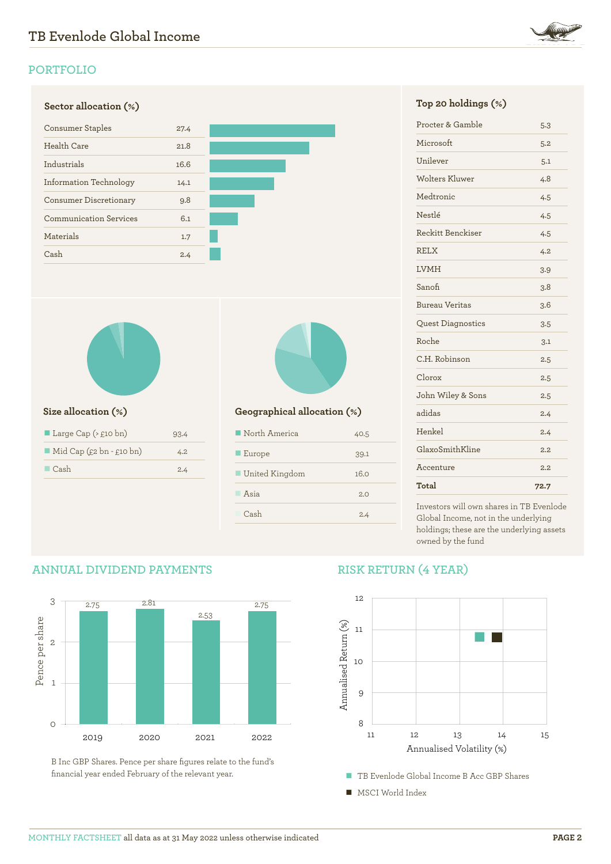

# **PORTFOLIO**





| Large Cap $($ \ $\epsilon$ 10 bn)       | 93.4 |
|-----------------------------------------|------|
| $\blacksquare$ Mid Cap (£2 bn - £10 bn) | 4.2. |
| $\Box$ Cash                             | 2.4  |

**ANNUAL DIVIDEND PAYMENTS**



# **Size allocation (%) Geographical allocation (%)**

| North America         | 40.5 |
|-----------------------|------|
| $\blacksquare$ Europe | 39.1 |
| ■ United Kingdom      | 16.0 |
| Asia                  | 2.0  |
| Cash                  | 2.4  |

| Procter & Gamble         | 5.3  |
|--------------------------|------|
| Microsoft                | 5.2  |
| Unilever                 | 5.1  |
| Wolters Kluwer           | 4.8  |
| Medtronic                | 4.5  |
| Nestlé                   | 4.5  |
| Reckitt Benckiser        | 4.5  |
| <b>RELX</b>              | 4.2  |
| <b>LVMH</b>              | 3.9  |
| Sanofi                   | 3.8  |
| <b>Bureau Veritas</b>    | 3.6  |
| <b>Quest Diagnostics</b> | 3.5  |
| Roche                    | 3.1  |
| C.H. Robinson            | 2.5  |
| Clorox                   | 2.5  |
| John Wiley & Sons        | 2.5  |
| adidas                   | 2.4  |
| Henkel                   | 2.4  |
| GlaxoSmithKline          | 2.2  |
| Accenture                | 2.2  |
| Total                    | 72.7 |

Investors will own shares in TB Evenlode Global Income, not in the underlying holdings; these are the underlying assets owned by the fund

# 3 2.75 2.81 2.75 2.53 Pence per share Pence per share 2 1  $\circ$ 2019 2020 2021 2022

B Inc GBP Shares. Pence per share figures relate to the fund's financial year ended February of the relevant year.

# **RISK RETURN (4 YEAR)**

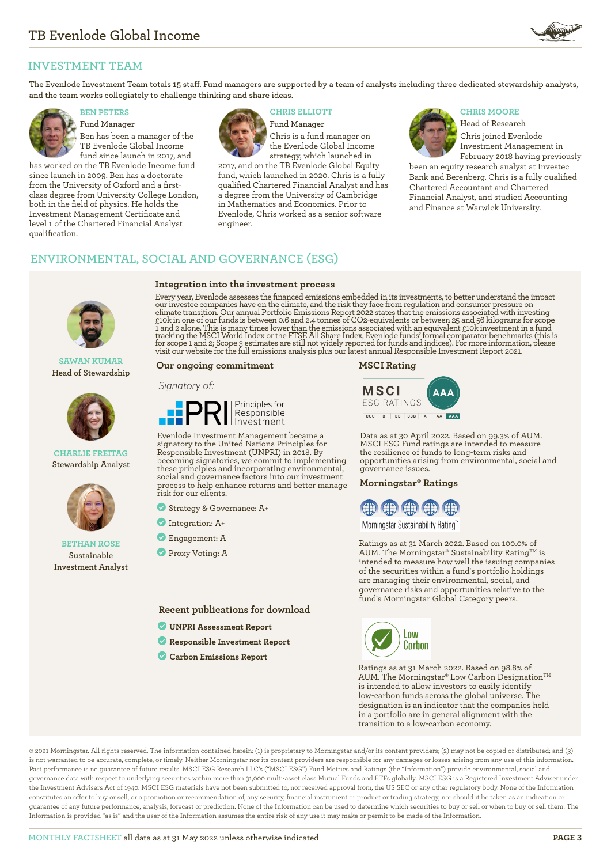

# **INVESTMENT TEAM**

**The Evenlode Investment Team totals 15 staff. Fund managers are supported by a team of analysts including three dedicated stewardship analysts, and the team works collegiately to challenge thinking and share ideas.**



**Fund Manager** Ben has been a manager of the TB Evenlode Global Income fund since launch in 2017, and

has worked on the TB Evenlode Income fund since launch in 2009. Ben has a doctorate from the University of Oxford and a firstclass degree from University College London, both in the field of physics. He holds the Investment Management Certificate and level 1 of the Chartered Financial Analyst qualification.



**Integration into the investment process**

**BEN PETERS CHRIS ELLIOTT CHRIS MOORE** 

**Fund Manager** Chris is a fund manager on the Evenlode Global Income strategy, which launched in

2017, and on the TB Evenlode Global Equity fund, which launched in 2020. Chris is a fully qualified Chartered Financial Analyst and has a degree from the University of Cambridge in Mathematics and Economics. Prior to Evenlode, Chris worked as a senior software engineer.



**Head of Research** Chris joined Evenlode Investment Management in

February 2018 having previously been an equity research analyst at Investec Bank and Berenberg. Chris is a fully qualified Chartered Accountant and Chartered Financial Analyst, and studied Accounting and Finance at Warwick University.

# **ENVIRONMENTAL, SOCIAL AND GOVERNANCE (ESG)**

**SAWAN KUMAR Head of Stewardship**



### **CHARLIE FREITAG Stewardship Analyst**



### **BETHAN ROSE Sustainable Investment Analyst**

Every year, Evenlode assesses the financed emissions embedded in its investments, to better understand the impact our investee companies have on the climate, and the risk they face from regulation and consumer pressure on climate transition. Our annual Portfolio Emissions Report 2022 states that the emissions associated with investing<br>£10k in one of our funds is between 0.6 and 2.4 tonnes of CO2-equivalents or between 25 and 56 kilograms fo

### **Our ongoing commitment**

### Signatory of:



Evenlode Investment Management became a signatory to the United Nations Principles for Responsible Investment (UNPRI) in 2018. By becoming signatories, we commit to implementing these principles and incorporating environmental, social and governance factors into our investment process to help enhance returns and better manage risk for our clients.

- ? Strategy & Governance: A+
- ? Integration: A+
- ? Engagement: A
- **Proxy Voting: A**

**Recent publications for download**

- ? **[UNPRI Assessment Report](https://evenlodeinvestment.com/resources/stewardship-assets/2020-Assessment-Report.pdf)**
- ? **[Responsible Investment Report](https://evenlodeinvestment.com/resources/stewardship-assets/Evenlode-Investment-Annual-Responsible-Investment-Report-2021.pdf)**
- ? **[Carbon Emissions Report](https://evenlodeinvestment.com/resources/stewardship-assets/Evenlode-Portfolio-Emissions-Report-2022.pdf)**





Data as at 30 April 2022. Based on 99.3% of AUM. MSCI ESG Fund ratings are intended to measure the resilience of funds to long-term risks and opportunities arising from environmental, social and governance issues.

### **Morningstar® Ratings**



Morningstar Sustainability Rating™

Ratings as at 31 March 2022. Based on 100.0% of AUM. The Morningstar® Sustainability Rating<sup>TM</sup> is intended to measure how well the issuing companies of the securities within a fund's portfolio holdings are managing their environmental, social, and governance risks and opportunities relative to the fund's Morningstar Global Category peers.



Ratings as at 31 March 2022. Based on 98.8% of AUM. The Morningstar® Low Carbon Designation™ is intended to allow investors to easily identify low-carbon funds across the global universe. The designation is an indicator that the companies held in a portfolio are in general alignment with the transition to a low-carbon economy.

© 2021 Morningstar. All rights reserved. The information contained herein: (1) is proprietary to Morningstar and/or its content providers; (2) may not be copied or distributed; and (3) is not warranted to be accurate, complete, or timely. Neither Morningstar nor its content providers are responsible for any damages or losses arising from any use of this information. Past performance is no guarantee of future results. MSCI ESG Research LLC's ("MSCI ESG") Fund Metrics and Ratings (the "Information") provide environmental, social and governance data with respect to underlying securities within more than 31,000 multi-asset class Mutual Funds and ETFs globally. MSCI ESG is a Registered Investment Adviser under the Investment Advisers Act of 1940. MSCI ESG materials have not been submitted to, nor received approval from, the US SEC or any other regulatory body. None of the Information constitutes an offer to buy or sell, or a promotion or recommendation of, any security, financial instrument or product or trading strategy, nor should it be taken as an indication or guarantee of any future performance, analysis, forecast or prediction. None of the Information can be used to determine which securities to buy or sell or when to buy or sell them. The Information is provided "as is" and the user of the Information assumes the entire risk of any use it may make or permit to be made of the Information.